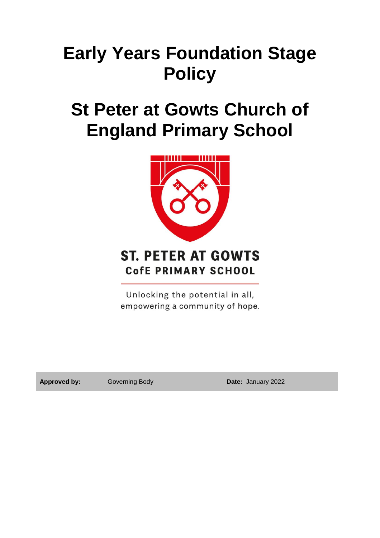# **Early Years Foundation Stage Policy**

## **St Peter at Gowts Church of England Primary School**



## **ST. PETER AT GOWTS CofE PRIMARY SCHOOL**

Unlocking the potential in all, empowering a community of hope.

**Approved by:** Governing Body **Date:** January 2022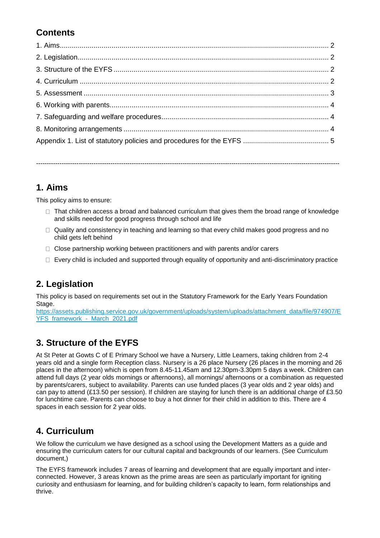## **Contents**

**1. Aims**

This policy aims to ensure:

- $\Box$  That children access a broad and balanced curriculum that gives them the broad range of knowledge and skills needed for good progress through school and life
- $\Box$  Quality and consistency in teaching and learning so that every child makes good progress and no child gets left behind

-----------------------------------------------------------------------------------------------------------------------------------------------

- $\Box$  Close partnership working between practitioners and with parents and/or carers
- $\Box$  Every child is included and supported through equality of opportunity and anti-discriminatory practice

## **2. Legislation**

This policy is based on requirements set out in the Statutory Framework for the Early Years Foundation Stage.

[https://assets.publishing.service.gov.uk/government/uploads/system/uploads/attachment\\_data/file/974907/E](https://assets.publishing.service.gov.uk/government/uploads/system/uploads/attachment_data/file/974907/EYFS_framework_-_March_2021.pdf) YFS\_framework - March\_2021.pdf

## **3. Structure of the EYFS**

At St Peter at Gowts C of E Primary School we have a Nursery, Little Learners, taking children from 2-4 years old and a single form Reception class. Nursery is a 26 place Nursery (26 places in the morning and 26 places in the afternoon) which is open from 8.45-11.45am and 12.30pm-3.30pm 5 days a week. Children can attend full days (2 year olds mornings or afternoons), all mornings/ afternoons or a combination as requested by parents/carers, subject to availability. Parents can use funded places (3 year olds and 2 year olds) and can pay to attend (£13.50 per session). If children are staying for lunch there is an additional charge of £3.50 for lunchtime care. Parents can choose to buy a hot dinner for their child in addition to this. There are 4 spaces in each session for 2 year olds.

## **4. Curriculum**

We follow the curriculum we have designed as a school using the Development Matters as a guide and ensuring the curriculum caters for our cultural capital and backgrounds of our learners. (See Curriculum document,)

The EYFS framework includes 7 areas of learning and development that are equally important and interconnected. However, 3 areas known as the prime areas are seen as particularly important for igniting curiosity and enthusiasm for learning, and for building children's capacity to learn, form relationships and thrive.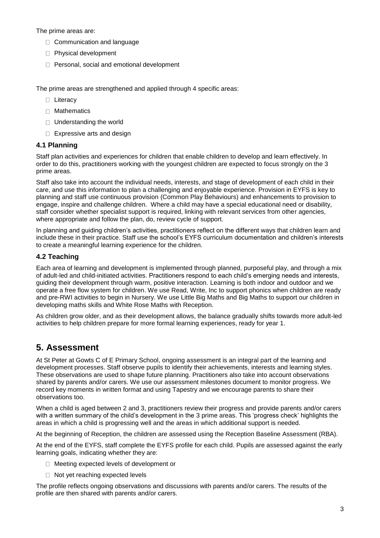The prime areas are:

- □ Communication and language
- Physical development
- $\Box$  Personal, social and emotional development

The prime areas are strengthened and applied through 4 specific areas:

- □ Literacy
- □ Mathematics
- □ Understanding the world
- □ Expressive arts and design

#### **4.1 Planning**

Staff plan activities and experiences for children that enable children to develop and learn effectively. In order to do this, practitioners working with the youngest children are expected to focus strongly on the 3 prime areas.

Staff also take into account the individual needs, interests, and stage of development of each child in their care, and use this information to plan a challenging and enjoyable experience. Provision in EYFS is key to planning and staff use continuous provision (Common Play Behaviours) and enhancements to provision to engage, inspire and challenge children. Where a child may have a special educational need or disability, staff consider whether specialist support is required, linking with relevant services from other agencies, where appropriate and follow the plan, do, review cycle of support.

In planning and guiding children's activities, practitioners reflect on the different ways that children learn and include these in their practice. Staff use the school's EYFS curriculum documentation and children's interests to create a meaningful learning experience for the children.

#### **4.2 Teaching**

Each area of learning and development is implemented through planned, purposeful play, and through a mix of adult-led and child-initiated activities. Practitioners respond to each child's emerging needs and interests, guiding their development through warm, positive interaction. Learning is both indoor and outdoor and we operate a free flow system for children. We use Read, Write, Inc to support phonics when children are ready and pre-RWI activities to begin in Nursery. We use Little Big Maths and Big Maths to support our children in developing maths skills and White Rose Maths with Reception.

As children grow older, and as their development allows, the balance gradually shifts towards more adult-led activities to help children prepare for more formal learning experiences, ready for year 1.

### **5. Assessment**

At St Peter at Gowts C of E Primary School, ongoing assessment is an integral part of the learning and development processes. Staff observe pupils to identify their achievements, interests and learning styles. These observations are used to shape future planning. Practitioners also take into account observations shared by parents and/or carers. We use our assessment milestones document to monitor progress. We record key moments in written format and using Tapestry and we encourage parents to share their observations too.

When a child is aged between 2 and 3, practitioners review their progress and provide parents and/or carers with a written summary of the child's development in the 3 prime areas. This 'progress check' highlights the areas in which a child is progressing well and the areas in which additional support is needed.

At the beginning of Reception, the children are assessed using the Reception Baseline Assessment (RBA).

At the end of the EYFS, staff complete the EYFS profile for each child. Pupils are assessed against the early learning goals, indicating whether they are:

- □ Meeting expected levels of development or
- $\Box$  Not yet reaching expected levels

The profile reflects ongoing observations and discussions with parents and/or carers. The results of the profile are then shared with parents and/or carers.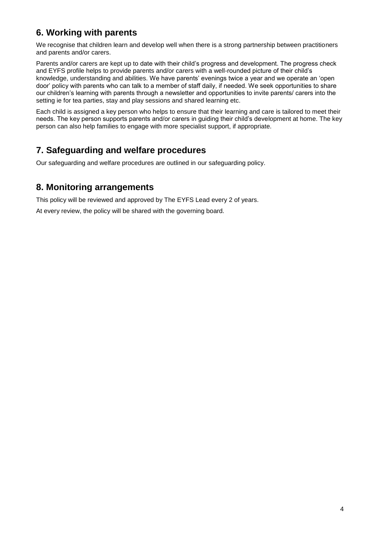## **6. Working with parents**

We recognise that children learn and develop well when there is a strong partnership between practitioners and parents and/or carers.

Parents and/or carers are kept up to date with their child's progress and development. The progress check and EYFS profile helps to provide parents and/or carers with a well-rounded picture of their child's knowledge, understanding and abilities. We have parents' evenings twice a year and we operate an 'open door' policy with parents who can talk to a member of staff daily, if needed. We seek opportunities to share our children's learning with parents through a newsletter and opportunities to invite parents/ carers into the setting ie for tea parties, stay and play sessions and shared learning etc.

Each child is assigned a key person who helps to ensure that their learning and care is tailored to meet their needs. The key person supports parents and/or carers in guiding their child's development at home. The key person can also help families to engage with more specialist support, if appropriate.

## **7. Safeguarding and welfare procedures**

Our safeguarding and welfare procedures are outlined in our safeguarding policy.

### **8. Monitoring arrangements**

This policy will be reviewed and approved by The EYFS Lead every 2 of years.

At every review, the policy will be shared with the governing board.